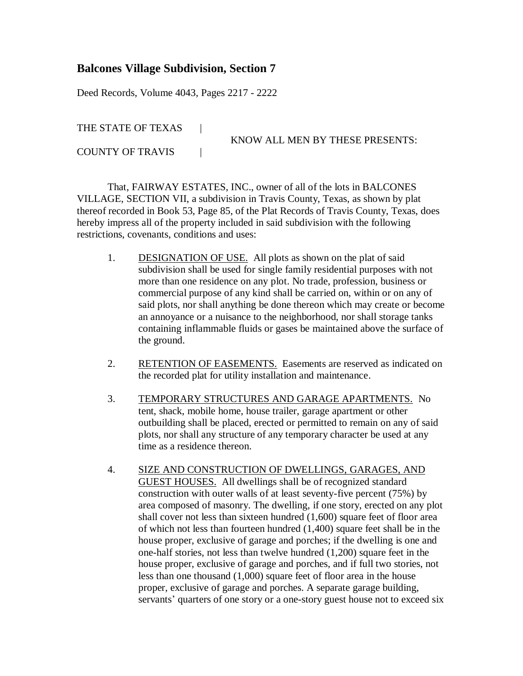## **Balcones Village Subdivision, Section 7**

Deed Records, Volume 4043, Pages 2217 - 2222

THE STATE OF TEXAS |

KNOW ALL MEN BY THESE PRESENTS:

COUNTY OF TRAVIS |

That, FAIRWAY ESTATES, INC., owner of all of the lots in BALCONES VILLAGE, SECTION VII, a subdivision in Travis County, Texas, as shown by plat thereof recorded in Book 53, Page 85, of the Plat Records of Travis County, Texas, does hereby impress all of the property included in said subdivision with the following restrictions, covenants, conditions and uses:

- 1. DESIGNATION OF USE. All plots as shown on the plat of said subdivision shall be used for single family residential purposes with not more than one residence on any plot. No trade, profession, business or commercial purpose of any kind shall be carried on, within or on any of said plots, nor shall anything be done thereon which may create or become an annoyance or a nuisance to the neighborhood, nor shall storage tanks containing inflammable fluids or gases be maintained above the surface of the ground.
- 2. RETENTION OF EASEMENTS. Easements are reserved as indicated on the recorded plat for utility installation and maintenance.
- 3. TEMPORARY STRUCTURES AND GARAGE APARTMENTS. No tent, shack, mobile home, house trailer, garage apartment or other outbuilding shall be placed, erected or permitted to remain on any of said plots, nor shall any structure of any temporary character be used at any time as a residence thereon.
- 4. SIZE AND CONSTRUCTION OF DWELLINGS, GARAGES, AND GUEST HOUSES. All dwellings shall be of recognized standard construction with outer walls of at least seventy-five percent (75%) by area composed of masonry. The dwelling, if one story, erected on any plot shall cover not less than sixteen hundred (1,600) square feet of floor area of which not less than fourteen hundred (1,400) square feet shall be in the house proper, exclusive of garage and porches; if the dwelling is one and one-half stories, not less than twelve hundred (1,200) square feet in the house proper, exclusive of garage and porches, and if full two stories, not less than one thousand (1,000) square feet of floor area in the house proper, exclusive of garage and porches. A separate garage building, servants' quarters of one story or a one-story guest house not to exceed six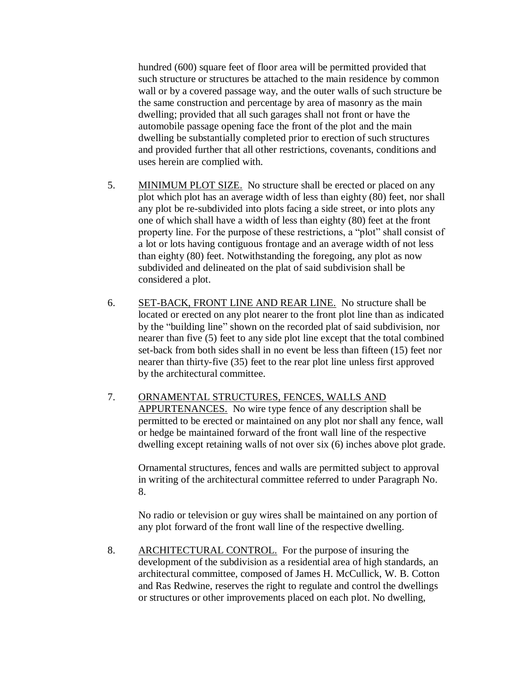hundred (600) square feet of floor area will be permitted provided that such structure or structures be attached to the main residence by common wall or by a covered passage way, and the outer walls of such structure be the same construction and percentage by area of masonry as the main dwelling; provided that all such garages shall not front or have the automobile passage opening face the front of the plot and the main dwelling be substantially completed prior to erection of such structures and provided further that all other restrictions, covenants, conditions and uses herein are complied with.

- 5. MINIMUM PLOT SIZE. No structure shall be erected or placed on any plot which plot has an average width of less than eighty (80) feet, nor shall any plot be re-subdivided into plots facing a side street, or into plots any one of which shall have a width of less than eighty (80) feet at the front property line. For the purpose of these restrictions, a "plot" shall consist of a lot or lots having contiguous frontage and an average width of not less than eighty (80) feet. Notwithstanding the foregoing, any plot as now subdivided and delineated on the plat of said subdivision shall be considered a plot.
- 6. SET-BACK, FRONT LINE AND REAR LINE. No structure shall be located or erected on any plot nearer to the front plot line than as indicated by the "building line" shown on the recorded plat of said subdivision, nor nearer than five (5) feet to any side plot line except that the total combined set-back from both sides shall in no event be less than fifteen (15) feet nor nearer than thirty-five (35) feet to the rear plot line unless first approved by the architectural committee.
- 7. ORNAMENTAL STRUCTURES, FENCES, WALLS AND APPURTENANCES. No wire type fence of any description shall be permitted to be erected or maintained on any plot nor shall any fence, wall or hedge be maintained forward of the front wall line of the respective dwelling except retaining walls of not over six (6) inches above plot grade.

Ornamental structures, fences and walls are permitted subject to approval in writing of the architectural committee referred to under Paragraph No. 8.

No radio or television or guy wires shall be maintained on any portion of any plot forward of the front wall line of the respective dwelling.

8. ARCHITECTURAL CONTROL. For the purpose of insuring the development of the subdivision as a residential area of high standards, an architectural committee, composed of James H. McCullick, W. B. Cotton and Ras Redwine, reserves the right to regulate and control the dwellings or structures or other improvements placed on each plot. No dwelling,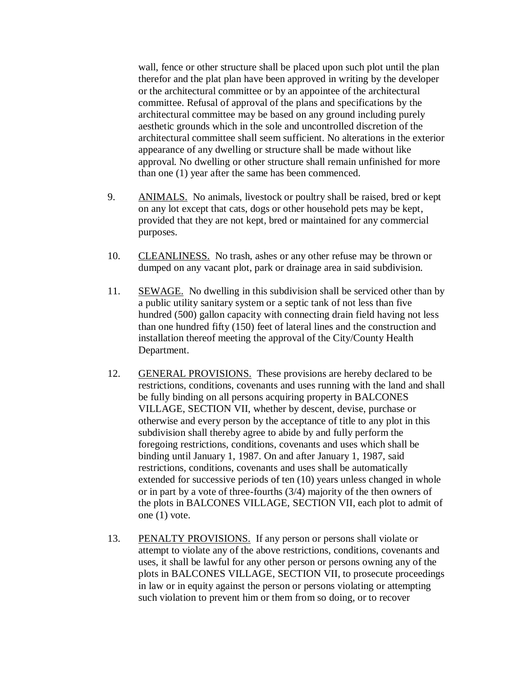wall, fence or other structure shall be placed upon such plot until the plan therefor and the plat plan have been approved in writing by the developer or the architectural committee or by an appointee of the architectural committee. Refusal of approval of the plans and specifications by the architectural committee may be based on any ground including purely aesthetic grounds which in the sole and uncontrolled discretion of the architectural committee shall seem sufficient. No alterations in the exterior appearance of any dwelling or structure shall be made without like approval. No dwelling or other structure shall remain unfinished for more than one (1) year after the same has been commenced.

- 9. ANIMALS. No animals, livestock or poultry shall be raised, bred or kept on any lot except that cats, dogs or other household pets may be kept, provided that they are not kept, bred or maintained for any commercial purposes.
- 10. CLEANLINESS. No trash, ashes or any other refuse may be thrown or dumped on any vacant plot, park or drainage area in said subdivision.
- 11. SEWAGE. No dwelling in this subdivision shall be serviced other than by a public utility sanitary system or a septic tank of not less than five hundred (500) gallon capacity with connecting drain field having not less than one hundred fifty (150) feet of lateral lines and the construction and installation thereof meeting the approval of the City/County Health Department.
- 12. GENERAL PROVISIONS. These provisions are hereby declared to be restrictions, conditions, covenants and uses running with the land and shall be fully binding on all persons acquiring property in BALCONES VILLAGE, SECTION VII, whether by descent, devise, purchase or otherwise and every person by the acceptance of title to any plot in this subdivision shall thereby agree to abide by and fully perform the foregoing restrictions, conditions, covenants and uses which shall be binding until January 1, 1987. On and after January 1, 1987, said restrictions, conditions, covenants and uses shall be automatically extended for successive periods of ten (10) years unless changed in whole or in part by a vote of three-fourths (3/4) majority of the then owners of the plots in BALCONES VILLAGE, SECTION VII, each plot to admit of one (1) vote.
- 13. PENALTY PROVISIONS. If any person or persons shall violate or attempt to violate any of the above restrictions, conditions, covenants and uses, it shall be lawful for any other person or persons owning any of the plots in BALCONES VILLAGE, SECTION VII, to prosecute proceedings in law or in equity against the person or persons violating or attempting such violation to prevent him or them from so doing, or to recover